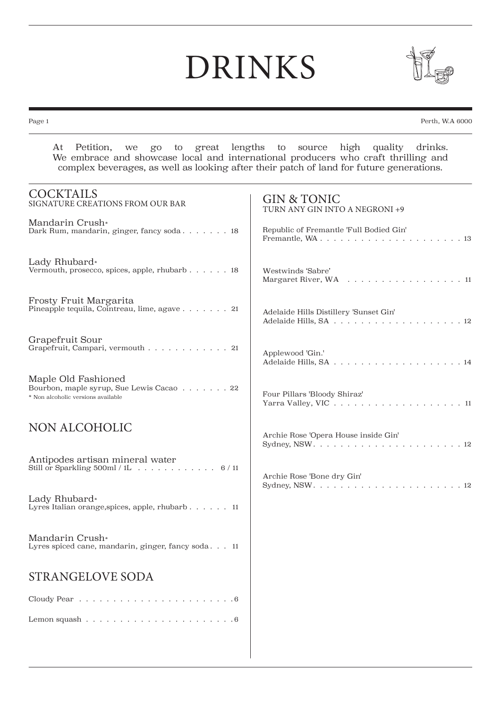## DRINKS



Page 1 Perth, W.A 6000

At Petition, we go to great lengths to source high quality drinks. We embrace and showcase local and international producers who craft thrilling and complex beverages, as well as looking after their patch of land for future generations.

| <b>COCKTAILS</b><br>SIGNATURE CREATIONS FROM OUR BAR                                                  | <b>GIN &amp; TONIC</b><br>TURN ANY GIN INTO A NEGRONI +9      |
|-------------------------------------------------------------------------------------------------------|---------------------------------------------------------------|
| Mandarin Crush*<br>Dark Rum, mandarin, ginger, fancy soda 18                                          | Republic of Fremantle 'Full Bodied Gin'                       |
| Lady Rhubard*<br>Vermouth, prosecco, spices, apple, rhubarb 18                                        | Westwinds 'Sabre'<br>Margaret River, WA 11                    |
| Frosty Fruit Margarita<br>Pineapple tequila, Cointreau, lime, agave 21                                | Adelaide Hills Distillery 'Sunset Gin'                        |
| Grapefruit Sour<br>Grapefruit, Campari, vermouth 21                                                   | Applewood 'Gin.'                                              |
| Maple Old Fashioned<br>Bourbon, maple syrup, Sue Lewis Cacao 22<br>* Non alcoholic versions available | Four Pillars 'Bloody Shiraz'<br>Yarra Valley, VIC $\ldots$ 11 |
| NON ALCOHOLIC                                                                                         | Archie Rose 'Opera House inside Gin'                          |
| Antipodes artisan mineral water<br>Still or Sparkling 500ml / 1L 6 / 11                               | Archie Rose 'Bone dry Gin'                                    |
| Lady Rhubard*<br>Lyres Italian orange, spices, apple, rhubarb. 11                                     |                                                               |
| Mandarin Crush*<br>Lyres spiced cane, mandarin, ginger, fancy soda 11                                 |                                                               |
| <b>STRANGELOVE SODA</b>                                                                               |                                                               |
| Cloudy Pear $\ldots \ldots \ldots \ldots \ldots \ldots \ldots \ldots \ldots 6$                        |                                                               |
|                                                                                                       |                                                               |
|                                                                                                       |                                                               |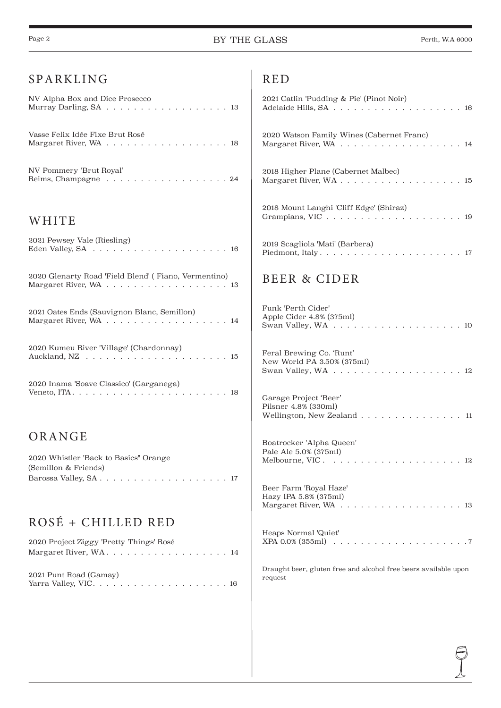| SPARKLING                                                      | <b>RED</b>                                                                  |
|----------------------------------------------------------------|-----------------------------------------------------------------------------|
| NV Alpha Box and Dice Prosecco                                 | 2021 Catlin 'Pudding & Pie' (Pinot Noir)                                    |
| Vasse Felix Idée Fixe Brut Rosé                                | 2020 Watson Family Wines (Cabernet Franc)                                   |
| NV Pommery 'Brut Royal'<br>Reims, Champagne 24                 | 2018 Higher Plane (Cabernet Malbec)                                         |
| WHITE                                                          | 2018 Mount Langhi 'Cliff Edge' (Shiraz)                                     |
| 2021 Pewsey Vale (Riesling)                                    | 2019 Scagliola 'Mati' (Barbera)                                             |
| 2020 Glenarty Road 'Field Blend' (Fiano, Vermentino)           | BEER & CIDER                                                                |
| 2021 Oates Ends (Sauvignon Blanc, Semillon)                    | Funk 'Perth Cider'<br>Apple Cider 4.8% (375ml)                              |
| 2020 Kumeu River 'Village' (Chardonnay)                        | Feral Brewing Co. 'Runt'<br>New World PA 3.50% (375ml)                      |
| 2020 Inama 'Soave Classico' (Garganega)                        | Garage Project 'Beer'<br>Pilsner 4.8% (330ml)<br>Wellington, New Zealand 11 |
| ORANGE                                                         | Boatrocker 'Alpha Queen'<br>Pale Ale 5.0% (375ml)                           |
| 2020 Whistler 'Back to Basics'' Orange<br>(Semillon & Friends) |                                                                             |
|                                                                | Beer Farm 'Royal Haze'<br>Hazy IPA 5.8% (375ml)                             |
| ROSÉ + CHILLED RED                                             |                                                                             |
| 2020 Project Ziggy 'Pretty Things' Rosé                        | Heaps Normal 'Quiet'                                                        |
| 2021 Punt Road (Gamay)                                         | Draught beer, gluten free and alcohol free beers available upon<br>request  |
|                                                                |                                                                             |
|                                                                |                                                                             |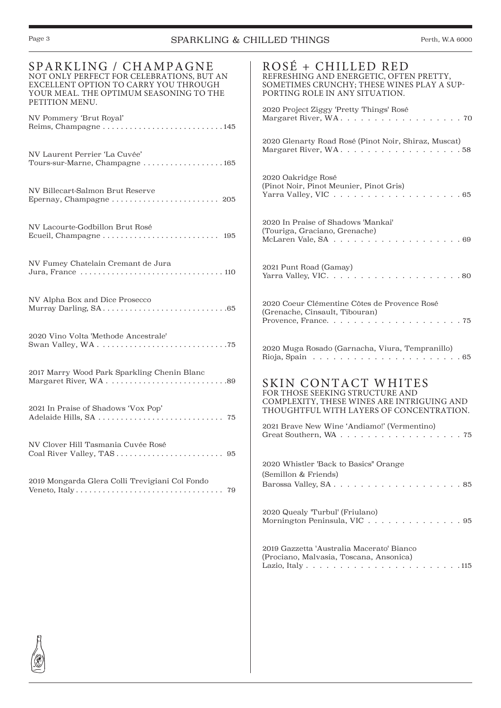## Page 3 SPARKLING & CHILLED THINGS Perth, W.A 6000

| SPARKLING / CHAMPAGNE<br>NOT ONLY PERFECT FOR CELEBRATIONS, BUT AN<br>EXCELLENT OPTION TO CARRY YOU THROUGH<br>YOUR MEAL. THE OPTIMUM SEASONING TO THE<br>PETITION MENU. | ROSÉ + CHILLED RED<br>REFRESHING AND ENERGETIC, OFTEN PRETTY,<br>SOMETIMES CRUNCHY; THESE WINES PLAY A SUP-<br>PORTING ROLE IN ANY SITUATION.                             |
|--------------------------------------------------------------------------------------------------------------------------------------------------------------------------|---------------------------------------------------------------------------------------------------------------------------------------------------------------------------|
| NV Pommery 'Brut Royal'<br>Reims, Champagne145                                                                                                                           | 2020 Project Ziggy 'Pretty Things' Rosé                                                                                                                                   |
| NV Laurent Perrier 'La Cuvée'<br>Tours-sur-Marne, Champagne 165                                                                                                          | 2020 Glenarty Road Rosé (Pinot Noir, Shiraz, Muscat)<br>Margaret River, WA. 58                                                                                            |
| NV Billecart-Salmon Brut Reserve                                                                                                                                         | 2020 Oakridge Rosé<br>(Pinot Noir, Pinot Meunier, Pinot Gris)                                                                                                             |
| NV Lacourte-Godbillon Brut Rosé                                                                                                                                          | 2020 In Praise of Shadows 'Mankai'<br>(Touriga, Graciano, Grenache)                                                                                                       |
| NV Fumey Chatelain Cremant de Jura                                                                                                                                       | 2021 Punt Road (Gamay)                                                                                                                                                    |
| NV Alpha Box and Dice Prosecco                                                                                                                                           | 2020 Coeur Clémentine Côtes de Provence Rosé<br>(Grenache, Cinsault, Tibouran)                                                                                            |
| 2020 Vino Volta 'Methode Ancestrale'                                                                                                                                     | 2020 Muga Rosado (Garnacha, Viura, Tempranillo)<br>Rioja, Spain $\ldots \ldots \ldots \ldots \ldots \ldots \ldots \ldots 65$                                              |
| 2017 Marry Wood Park Sparkling Chenin Blanc                                                                                                                              | SKIN CONTACT WHITES<br>FOR THOSE SEEKING STRUCTURE AND<br>COMPLEXITY, THESE WINES ARE INTRIGUING AND                                                                      |
| 2021 In Praise of Shadows 'Vox Pop'                                                                                                                                      | THOUGHTFUL WITH LAYERS OF CONCENTRATION.<br>2021 Brave New Wine 'Andiamo!' (Vermentino)                                                                                   |
| NV Clover Hill Tasmania Cuvée Rosé                                                                                                                                       | 75                                                                                                                                                                        |
|                                                                                                                                                                          | 2020 Whistler 'Back to Basics'' Orange<br>(Semillon & Friends)                                                                                                            |
| 2019 Mongarda Glera Colli Trevigiani Col Fondo                                                                                                                           |                                                                                                                                                                           |
|                                                                                                                                                                          | 2020 Quealy 'Turbul' (Friulano)<br>Mornington Peninsula, VIC 95                                                                                                           |
|                                                                                                                                                                          | 2019 Gazzetta 'Australia Macerato' Bianco<br>(Prociano, Malvasia, Toscana, Ansonica)<br>Lazio, Italy $\ldots \ldots \ldots \ldots \ldots \ldots \ldots \ldots \ldots 115$ |
|                                                                                                                                                                          |                                                                                                                                                                           |
|                                                                                                                                                                          |                                                                                                                                                                           |
|                                                                                                                                                                          |                                                                                                                                                                           |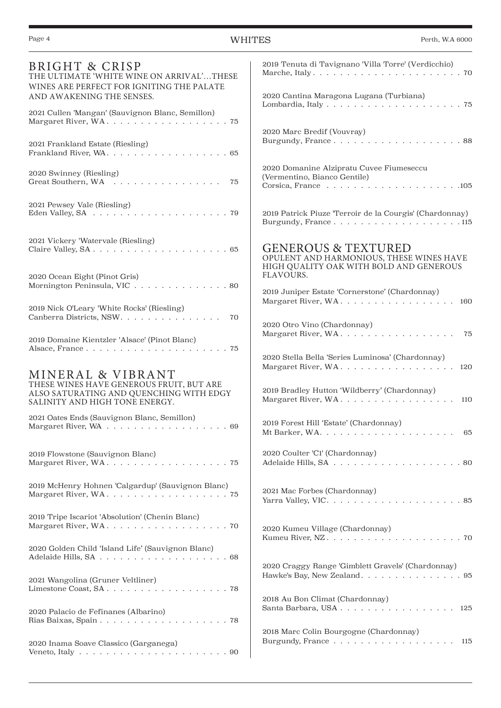| <b>BRIGHT &amp; CRISP</b><br>THE ULTIMATE 'WHITE WINE ON ARRIVAL'THESE<br>WINES ARE PERFECT FOR IGNITING THE PALATE        | 2019 Tenuta di Tavignano 'Villa Torre' (Verdicchio)                                                                   |
|----------------------------------------------------------------------------------------------------------------------------|-----------------------------------------------------------------------------------------------------------------------|
| AND AWAKENING THE SENSES.                                                                                                  | 2020 Cantina Maragona Lugana (Turbiana)                                                                               |
| 2021 Cullen 'Mangan' (Sauvignon Blanc, Semillon)                                                                           |                                                                                                                       |
| 2021 Frankland Estate (Riesling)                                                                                           | 2020 Marc Bredif (Vouvray)<br>Burgundy, France88                                                                      |
| 2020 Swinney (Riesling)<br>Great Southern, WA 75                                                                           | 2020 Domanine Alzipratu Cuvee Fiumeseccu<br>(Vermentino, Bianco Gentile)                                              |
| 2021 Pewsey Vale (Riesling)                                                                                                | 2019 Patrick Piuze 'Terroir de la Courgis' (Chardonnay)<br>Burgundy, France115                                        |
| 2021 Vickery 'Watervale (Riesling)                                                                                         | <b>GENEROUS &amp; TEXTURED</b><br>OPULENT AND HARMONIOUS, THESE WINES HAVE<br>HIGH QUALITY OAK WITH BOLD AND GENEROUS |
| 2020 Ocean Eight (Pinot Gris)<br>Mornington Peninsula, VIC 80                                                              | FLAVOURS.<br>2019 Juniper Estate 'Cornerstone' (Chardonnay)                                                           |
| 2019 Nick O'Leary 'White Rocks' (Riesling)                                                                                 | Margaret River, WA. 160                                                                                               |
| Canberra Districts, NSW.<br>70                                                                                             | 2020 Otro Vino (Chardonnay)                                                                                           |
| 2019 Domaine Kientzler 'Alsace' (Pinot Blanc)                                                                              | Margaret River, WA.<br>- 75                                                                                           |
| MINERAL & VIBRANT                                                                                                          | 2020 Stella Bella 'Series Luminosa' (Chardonnay)<br>Margaret River, WA. 120                                           |
| THESE WINES HAVE GENEROUS FRUIT, BUT ARE<br>ALSO SATURATING AND QUENCHING WITH EDGY<br>SALINITY AND HIGH TONE ENERGY.      | 2019 Bradley Hutton 'Wildberry' (Chardonnay)<br>Margaret River, WA. 110                                               |
| 2021 Oates Ends (Sauvignon Blanc, Semillon)                                                                                | 2019 Forest Hill 'Estate' (Chardonnay)<br>Mt Barker, WA.<br>65                                                        |
| 2019 Flowstone (Sauvignon Blanc)                                                                                           | 2020 Coulter 'C1' (Chardonnay)                                                                                        |
| 2019 McHenry Hohnen 'Calgardup' (Sauvignon Blanc)                                                                          | 2021 Mac Forbes (Chardonnay)                                                                                          |
| 2019 Tripe Iscariot 'Absolution' (Chenin Blanc)                                                                            | 2020 Kumeu Village (Chardonnay)                                                                                       |
| 2020 Golden Child 'Island Life' (Sauvignon Blanc)                                                                          |                                                                                                                       |
| 2021 Wangolina (Gruner Veltliner)                                                                                          | 2020 Craggy Range 'Gimblett Gravels' (Chardonnay)<br>Hawke's Bay, New Zealand. 95                                     |
|                                                                                                                            | 2018 Au Bon Climat (Chardonnay)                                                                                       |
| 2020 Palacio de Fefinanes (Albarino)                                                                                       | Santa Barbara, USA 125                                                                                                |
| 2020 Inama Soave Classico (Garganega)<br>Veneto, Italy $\ldots \ldots \ldots \ldots \ldots \ldots \ldots \ldots \ldots 90$ | 2018 Marc Colin Bourgogne (Chardonnay)<br>Burgundy, France 115                                                        |